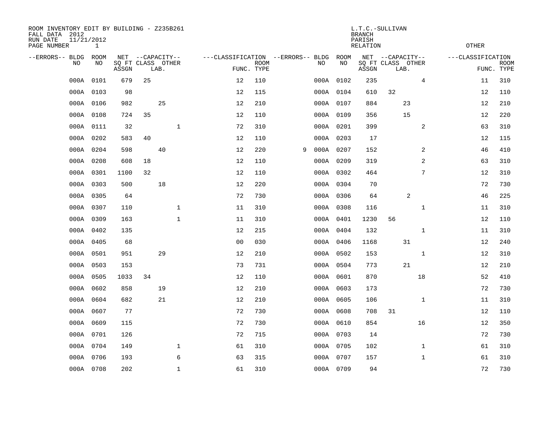| ROOM INVENTORY EDIT BY BUILDING - Z235B261<br>FALL DATA 2012<br>RUN DATE<br>11/21/2012<br>PAGE NUMBER |           |       |    |                           | L.T.C.-SULLIVAN<br><b>BRANCH</b><br>PARISH<br><b>RELATION</b> |                                   |                           |   |    |             |       |                           | <b>OTHER</b> |                   |             |
|-------------------------------------------------------------------------------------------------------|-----------|-------|----|---------------------------|---------------------------------------------------------------|-----------------------------------|---------------------------|---|----|-------------|-------|---------------------------|--------------|-------------------|-------------|
| --ERRORS-- BLDG                                                                                       | ROOM      |       |    | NET --CAPACITY--          |                                                               | ---CLASSIFICATION --ERRORS-- BLDG |                           |   |    | <b>ROOM</b> |       | NET --CAPACITY--          |              | ---CLASSIFICATION |             |
| NO.                                                                                                   | NO        | ASSGN |    | SQ FT CLASS OTHER<br>LAB. |                                                               |                                   | <b>ROOM</b><br>FUNC. TYPE |   | NO | NO          | ASSGN | SQ FT CLASS OTHER<br>LAB. |              | FUNC. TYPE        | <b>ROOM</b> |
| 000A                                                                                                  | 0101      | 679   | 25 |                           |                                                               | 12                                | 110                       |   |    | 000A 0102   | 235   |                           | 4            | 11                | 310         |
| 000A                                                                                                  | 0103      | 98    |    |                           |                                                               | 12                                | 115                       |   |    | 000A 0104   | 610   | 32                        |              | 12                | 110         |
|                                                                                                       | 000A 0106 | 982   |    | 25                        |                                                               | 12                                | 210                       |   |    | 000A 0107   | 884   | 23                        |              | 12                | 210         |
| 000A                                                                                                  | 0108      | 724   | 35 |                           |                                                               | 12                                | 110                       |   |    | 000A 0109   | 356   | 15                        |              | 12                | 220         |
| 000A                                                                                                  | 0111      | 32    |    |                           | $\mathbf{1}$                                                  | 72                                | 310                       |   |    | 000A 0201   | 399   |                           | 2            | 63                | 310         |
| 000A                                                                                                  | 0202      | 583   | 40 |                           |                                                               | 12                                | 110                       |   |    | 000A 0203   | 17    |                           |              | 12                | 115         |
| 000A                                                                                                  | 0204      | 598   |    | 40                        |                                                               | 12                                | 220                       | 9 |    | 000A 0207   | 152   |                           | 2            | 46                | 410         |
|                                                                                                       | 000A 0208 | 608   | 18 |                           |                                                               | 12                                | 110                       |   |    | 000A 0209   | 319   |                           | 2            | 63                | 310         |
| 000A                                                                                                  | 0301      | 1100  | 32 |                           |                                                               | 12                                | 110                       |   |    | 000A 0302   | 464   |                           | 7            | 12                | 310         |
| 000A                                                                                                  | 0303      | 500   |    | 18                        |                                                               | 12                                | 220                       |   |    | 000A 0304   | 70    |                           |              | 72                | 730         |
| 000A                                                                                                  | 0305      | 64    |    |                           |                                                               | 72                                | 730                       |   |    | 000A 0306   | 64    | 2                         |              | 46                | 225         |
| 000A                                                                                                  | 0307      | 110   |    |                           | $\mathbf 1$                                                   | 11                                | 310                       |   |    | 000A 0308   | 116   |                           | $\mathbf{1}$ | 11                | 310         |
| 000A                                                                                                  | 0309      | 163   |    |                           | $\mathbf{1}$                                                  | 11                                | 310                       |   |    | 000A 0401   | 1230  | 56                        |              | 12                | 110         |
|                                                                                                       | 000A 0402 | 135   |    |                           |                                                               | 12                                | 215                       |   |    | 000A 0404   | 132   |                           | $\mathbf{1}$ | 11                | 310         |
|                                                                                                       | 000A 0405 | 68    |    |                           |                                                               | 0 <sub>0</sub>                    | 030                       |   |    | 000A 0406   | 1168  | 31                        |              | 12                | 240         |
|                                                                                                       | 000A 0501 | 951   |    | 29                        |                                                               | 12                                | 210                       |   |    | 000A 0502   | 153   |                           | $\mathbf{1}$ | 12                | 310         |
| 000A                                                                                                  | 0503      | 153   |    |                           |                                                               | 73                                | 731                       |   |    | 000A 0504   | 773   | 21                        |              | 12                | 210         |
| 000A                                                                                                  | 0505      | 1033  | 34 |                           |                                                               | 12                                | 110                       |   |    | 000A 0601   | 870   |                           | 18           | 52                | 410         |
|                                                                                                       | 000A 0602 | 858   |    | 19                        |                                                               | 12                                | 210                       |   |    | 000A 0603   | 173   |                           |              | 72                | 730         |
|                                                                                                       | 000A 0604 | 682   |    | 21                        |                                                               | 12                                | 210                       |   |    | 000A 0605   | 106   |                           | $\mathbf{1}$ | 11                | 310         |
| 000A                                                                                                  | 0607      | 77    |    |                           |                                                               | 72                                | 730                       |   |    | 000A 0608   | 708   | 31                        |              | 12                | 110         |
| 000A                                                                                                  | 0609      | 115   |    |                           |                                                               | 72                                | 730                       |   |    | 000A 0610   | 854   |                           | 16           | 12                | 350         |
| 000A                                                                                                  | 0701      | 126   |    |                           |                                                               | 72                                | 715                       |   |    | 000A 0703   | 14    |                           |              | 72                | 730         |
|                                                                                                       | 000A 0704 | 149   |    |                           | $\mathbf 1$                                                   | 61                                | 310                       |   |    | 000A 0705   | 102   |                           | $\mathbf{1}$ | 61                | 310         |
| 000A                                                                                                  | 0706      | 193   |    |                           | 6                                                             | 63                                | 315                       |   |    | 000A 0707   | 157   |                           | $\mathbf{1}$ | 61                | 310         |
|                                                                                                       | 000A 0708 | 202   |    |                           | $\mathbf{1}$                                                  | 61                                | 310                       |   |    | 000A 0709   | 94    |                           |              | 72                | 730         |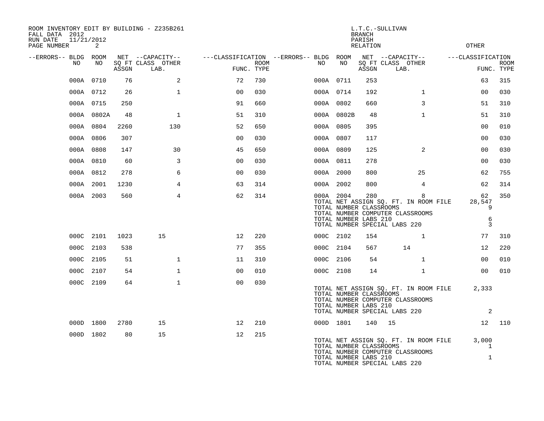| ROOM INVENTORY EDIT BY BUILDING - Z235B261<br>FALL DATA 2012<br>RUN DATE<br>11/21/2012<br>PAGE NUMBER | 2          |       |                           |                   |             |                                                         |            | <b>BRANCH</b><br>PARISH<br><b>RELATION</b>              | L.T.C.-SULLIVAN                                                                                                 | <b>OTHER</b>                          |                           |
|-------------------------------------------------------------------------------------------------------|------------|-------|---------------------------|-------------------|-------------|---------------------------------------------------------|------------|---------------------------------------------------------|-----------------------------------------------------------------------------------------------------------------|---------------------------------------|---------------------------|
| --ERRORS-- BLDG ROOM                                                                                  |            |       | NET --CAPACITY--          |                   |             | ---CLASSIFICATION --ERRORS-- BLDG ROOM NET --CAPACITY-- |            |                                                         |                                                                                                                 | ---CLASSIFICATION                     |                           |
| NO                                                                                                    | NO         | ASSGN | SO FT CLASS OTHER<br>LAB. | FUNC. TYPE        | <b>ROOM</b> | NO .                                                    | NO         | ASSGN                                                   | SQ FT CLASS OTHER<br>LAB.                                                                                       |                                       | <b>ROOM</b><br>FUNC. TYPE |
|                                                                                                       | 000A 0710  | 76    | 2                         | 72                | 730         |                                                         | 000A 0711  | 253                                                     |                                                                                                                 | 63                                    | 315                       |
|                                                                                                       | 000A 0712  | 26    | $\mathbf{1}$              | 0 <sub>0</sub>    | 030         |                                                         | 000A 0714  | 192                                                     | $\mathbf{1}$                                                                                                    | 00                                    | 030                       |
|                                                                                                       | 000A 0715  | 250   |                           | 91                | 660         |                                                         | 000A 0802  | 660                                                     | 3                                                                                                               | 51                                    | 310                       |
|                                                                                                       | 000A 0802A | 48    | $\mathbf{1}$              | 51                | 310         |                                                         | 000A 0802B | 48                                                      | $\mathbf{1}$                                                                                                    | 51                                    | 310                       |
|                                                                                                       | 000A 0804  | 2260  | 130                       | 52                | 650         |                                                         | 000A 0805  | 395                                                     |                                                                                                                 | 0 <sub>0</sub>                        | 010                       |
|                                                                                                       | 000A 0806  | 307   |                           | 0 <sub>0</sub>    | 030         |                                                         | 000A 0807  | 117                                                     |                                                                                                                 | 00                                    | 030                       |
|                                                                                                       | 000A 0808  | 147   | 30                        | 45                | 650         |                                                         | 000A 0809  | 125                                                     | 2                                                                                                               | 0 <sub>0</sub>                        | 030                       |
|                                                                                                       | 000A 0810  | 60    | 3                         | 0 <sub>0</sub>    | 030         |                                                         | 000A 0811  | 278                                                     |                                                                                                                 | 00                                    | 030                       |
|                                                                                                       | 000A 0812  | 278   | 6                         | 0 <sub>0</sub>    | 030         |                                                         | 000A 2000  | 800                                                     | 25                                                                                                              | 62                                    | 755                       |
|                                                                                                       | 000A 2001  | 1230  | 4                         | 63                | 314         |                                                         | 000A 2002  | 800                                                     | $\overline{4}$                                                                                                  | 62                                    | 314                       |
|                                                                                                       | 000A 2003  | 560   | $\overline{4}$            | 62                | 314         |                                                         | 000A 2004  | 280<br>TOTAL NUMBER CLASSROOMS<br>TOTAL NUMBER LABS 210 | 8<br>TOTAL NET ASSIGN SQ. FT. IN ROOM FILE<br>TOTAL NUMBER COMPUTER CLASSROOMS<br>TOTAL NUMBER SPECIAL LABS 220 | 62<br>28,547<br>9<br>6<br>3           | 350                       |
|                                                                                                       | 000C 2101  | 1023  | 15                        | $12 \overline{ }$ | 220         |                                                         | 000C 2102  | 154                                                     | $\mathbf{1}$                                                                                                    | 77                                    | 310                       |
|                                                                                                       | 000C 2103  | 538   |                           | 77                | 355         |                                                         | 000C 2104  | 567                                                     | 14                                                                                                              | 12                                    | 220                       |
|                                                                                                       | 000C 2105  | 51    | $\mathbf 1$               | 11                | 310         |                                                         | 000C 2106  | 54                                                      | $\mathbf{1}$                                                                                                    | 00                                    | 010                       |
|                                                                                                       | 000C 2107  | 54    | $\mathbf{1}$              | 00                | 010         |                                                         | 000C 2108  | 14                                                      | $\mathbf{1}$                                                                                                    | 0 <sub>0</sub>                        | 010                       |
|                                                                                                       | 000C 2109  | 64    | $\mathbf{1}$              | 0 <sub>0</sub>    | 030         |                                                         |            | TOTAL NUMBER CLASSROOMS<br>TOTAL NUMBER LABS 210        | TOTAL NET ASSIGN SQ. FT. IN ROOM FILE<br>TOTAL NUMBER COMPUTER CLASSROOMS<br>TOTAL NUMBER SPECIAL LABS 220      | 2,333<br>2                            |                           |
|                                                                                                       | 000D 1800  | 2780  | 15                        | 12                | 210         |                                                         | 000D 1801  | 140                                                     | 15                                                                                                              | 12                                    | 110                       |
|                                                                                                       | 000D 1802  | 80    | 15                        | 12                | 215         |                                                         |            | TOTAL NUMBER CLASSROOMS<br>TOTAL NUMBER LABS 210        | TOTAL NET ASSIGN SQ. FT. IN ROOM FILE<br>TOTAL NUMBER COMPUTER CLASSROOMS<br>TOTAL NUMBER SPECIAL LABS 220      | 3,000<br>$\mathbf{1}$<br>$\mathbf{1}$ |                           |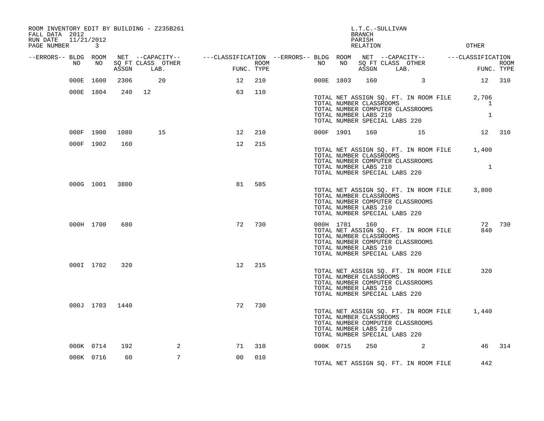| FALL DATA 2012<br>RUN DATE<br>PAGE NUMBER |    | 11/21/2012<br>3 |       | ROOM INVENTORY EDIT BY BUILDING - Z235B261 |                                                                                                                                                                       | <b>OTHER</b> |  |           |                                                                                          |         |                                                                           |                                                             |            |
|-------------------------------------------|----|-----------------|-------|--------------------------------------------|-----------------------------------------------------------------------------------------------------------------------------------------------------------------------|--------------|--|-----------|------------------------------------------------------------------------------------------|---------|---------------------------------------------------------------------------|-------------------------------------------------------------|------------|
| --ERRORS-- BLDG ROOM                      | NO | NO              | ASSGN | SO FT CLASS OTHER<br>LAB.                  | NET --CAPACITY-- -----CLASSIFICATION --ERRORS-- BLDG ROOM NET --CAPACITY-- ------CLASSIFICATION<br>SO FT CLASS OTHER THE ROOM NO NO SO FT CLASS OTHER THE THE ROOM NU | FUNC. TYPE   |  |           | ASSGN                                                                                    |         | LAB.                                                                      |                                                             | FUNC. TYPE |
|                                           |    | 000E 1600       | 2306  | 20                                         | 12                                                                                                                                                                    | 210          |  | 000E 1803 | 160                                                                                      |         | $\sim$ 3                                                                  | 12 310                                                      |            |
|                                           |    | 000E 1804       |       | 240 12                                     | 63                                                                                                                                                                    | 110          |  |           | TOTAL NUMBER CLASSROOMS<br>TOTAL NUMBER LABS 210<br>TOTAL NUMBER SPECIAL LABS 220        |         | TOTAL NET ASSIGN SQ. FT. IN ROOM FILE<br>TOTAL NUMBER COMPUTER CLASSROOMS | 2,706<br>1<br>$\mathbf{1}$                                  |            |
|                                           |    | 000F 1900       | 1080  | 15                                         | 12                                                                                                                                                                    | 210          |  | 000F 1901 | 160                                                                                      |         | 15                                                                        |                                                             | 12 310     |
|                                           |    | 000F 1902       | 160   |                                            | 12                                                                                                                                                                    | 215          |  |           | TOTAL NUMBER CLASSROOMS<br>TOTAL NUMBER LABS 210<br>TOTAL NUMBER SPECIAL LABS 220        |         | TOTAL NUMBER COMPUTER CLASSROOMS                                          | TOTAL NET ASSIGN SQ. FT. IN ROOM FILE 1,400<br>$\mathbf{1}$ |            |
|                                           |    | 000G 1001 3800  |       |                                            | 81                                                                                                                                                                    | 585          |  |           | TOTAL NUMBER CLASSROOMS<br>TOTAL NUMBER LABS 210<br>TOTAL NUMBER SPECIAL LABS 220        |         | TOTAL NET ASSIGN SQ. FT. IN ROOM FILE<br>TOTAL NUMBER COMPUTER CLASSROOMS | 3,800                                                       |            |
|                                           |    | 000H 1700       | 680   |                                            | 72                                                                                                                                                                    | 730          |  | 000H 1701 | 160<br>TOTAL NUMBER CLASSROOMS<br>TOTAL NUMBER LABS 210<br>TOTAL NUMBER SPECIAL LABS 220 |         | TOTAL NET ASSIGN SQ. FT. IN ROOM FILE<br>TOTAL NUMBER COMPUTER CLASSROOMS | 840                                                         | 72 730     |
|                                           |    | 000I 1702       | 320   |                                            | 12 <sub>2</sub>                                                                                                                                                       | 215          |  |           | TOTAL NUMBER CLASSROOMS<br>TOTAL NUMBER LABS 210<br>TOTAL NUMBER SPECIAL LABS 220        |         | TOTAL NET ASSIGN SQ. FT. IN ROOM FILE<br>TOTAL NUMBER COMPUTER CLASSROOMS | 320                                                         |            |
|                                           |    | 000J 1703 1440  |       |                                            | 72                                                                                                                                                                    | 730          |  |           | TOTAL NUMBER CLASSROOMS<br>TOTAL NUMBER LABS 210<br>TOTAL NUMBER SPECIAL LABS 220        |         | TOTAL NET ASSIGN SQ. FT. IN ROOM FILE<br>TOTAL NUMBER COMPUTER CLASSROOMS | 1,440                                                       |            |
|                                           |    | 000K 0714       | 192   | 2                                          | 71                                                                                                                                                                    | 310          |  | 000K 0715 |                                                                                          | 250 000 | 2                                                                         | 46                                                          | 314        |
|                                           |    | 000K 0716       | 60    | $7\overline{ }$                            | 0 <sup>0</sup>                                                                                                                                                        | 010          |  |           |                                                                                          |         | TOTAL NET ASSIGN SQ. FT. IN ROOM FILE                                     | 442                                                         |            |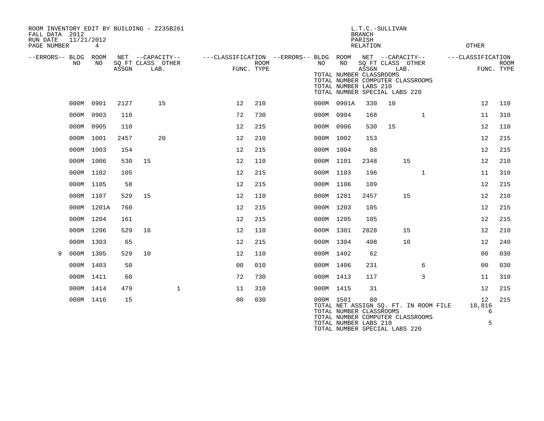| FALL DATA 2012<br>RUN DATE<br>PAGE NUMBER |    | 11/21/2012<br>4 |       | ROOM INVENTORY EDIT BY BUILDING - Z235B261    |                |                    |                                                               |                                                               | <b>BRANCH</b><br>PARISH<br><b>RELATION</b> | L.T.C.-SULLIVAN                                                                                            |              | OTHER                  |                           |
|-------------------------------------------|----|-----------------|-------|-----------------------------------------------|----------------|--------------------|---------------------------------------------------------------|---------------------------------------------------------------|--------------------------------------------|------------------------------------------------------------------------------------------------------------|--------------|------------------------|---------------------------|
| --ERRORS-- BLDG ROOM                      | NO | NO.             | ASSGN | NET --CAPACITY--<br>SQ FT CLASS OTHER<br>LAB. |                | ROOM<br>FUNC. TYPE | ---CLASSIFICATION --ERRORS-- BLDG ROOM NET --CAPACITY--<br>NO | NO<br>TOTAL NUMBER CLASSROOMS<br>TOTAL NUMBER LABS 210        | ASSGN                                      | SQ FT CLASS OTHER<br>LAB.<br>TOTAL NUMBER COMPUTER CLASSROOMS<br>TOTAL NUMBER SPECIAL LABS 220             |              | ---CLASSIFICATION      | <b>ROOM</b><br>FUNC. TYPE |
|                                           |    | 000M 0901       | 2127  | 15                                            | 12             | 210                |                                                               | 000M 0901A                                                    | 330                                        | 10                                                                                                         |              | 12                     | 110                       |
|                                           |    | 000M 0903       | 110   |                                               | 72             | 730                |                                                               | 000M 0904                                                     | 168                                        |                                                                                                            | $\mathbf{1}$ | 11                     | 310                       |
|                                           |    | 000M 0905       | 110   |                                               | 12             | 215                |                                                               | 000M 0906                                                     | 530                                        | 15                                                                                                         |              | 12                     | 110                       |
|                                           |    | 000M 1001       | 2457  | 20                                            | 12             | 210                |                                                               | 000M 1002                                                     | 153                                        |                                                                                                            |              | 12                     | 215                       |
|                                           |    | 000M 1003       | 154   |                                               | 12             | 215                |                                                               | 000M 1004                                                     | 88                                         |                                                                                                            |              | 12                     | 215                       |
|                                           |    | 000M 1006       | 530   | 15                                            | 12             | 110                |                                                               | 000M 1101                                                     | 2348                                       | 15                                                                                                         |              | 12                     | 210                       |
|                                           |    | 000M 1102       | 105   |                                               | 12             | 215                |                                                               | 000M 1103                                                     | 196                                        |                                                                                                            | $\mathbf{1}$ | 11                     | 310                       |
|                                           |    | 000M 1105       | 58    |                                               | 12             | 215                |                                                               | 000M 1106                                                     | 109                                        |                                                                                                            |              | 12                     | 215                       |
|                                           |    | 000M 1107       | 529   | 15                                            | 12             | 110                |                                                               | 000M 1201                                                     | 2457                                       | 15                                                                                                         |              | 12                     | 210                       |
|                                           |    | 000M 1201A      | 760   |                                               | 12             | 215                |                                                               | 000M 1203                                                     | 105                                        |                                                                                                            |              | 12                     | 215                       |
|                                           |    | 000M 1204       | 161   |                                               | 12             | 215                |                                                               | 000M 1205                                                     | 105                                        |                                                                                                            |              | 12                     | 215                       |
|                                           |    | 000M 1206       | 529   | 16                                            | 12             | 110                |                                                               | 000M 1301                                                     | 2828                                       | 15                                                                                                         |              | 12                     | 210                       |
|                                           |    | 000M 1303       | 65    |                                               | 12             | 215                |                                                               | 000M 1304                                                     | 408                                        | 10                                                                                                         |              | 12                     | 240                       |
| 9                                         |    | 000M 1305       | 529   | 10                                            | 12             | 110                |                                                               | 000M 1402                                                     | 62                                         |                                                                                                            |              | 00                     | 030                       |
|                                           |    | 000M 1403       | 50    |                                               | 0 <sub>0</sub> | 010                |                                                               | 000M 1406                                                     | 231                                        |                                                                                                            | 6            | 0 <sub>0</sub>         | 030                       |
|                                           |    | 000M 1411       | 60    |                                               | 72             | 730                |                                                               | 000M 1413                                                     | 117                                        |                                                                                                            | 3            | 11                     | 310                       |
|                                           |    | 000M 1414       | 479   | $\mathbf{1}$                                  | 11             | 310                |                                                               | 000M 1415                                                     | 31                                         |                                                                                                            |              | 12                     | 215                       |
|                                           |    | 000M 1416       | 15    |                                               | 0 <sub>0</sub> | 030                |                                                               | 000M 1501<br>TOTAL NUMBER CLASSROOMS<br>TOTAL NUMBER LABS 210 | 80                                         | TOTAL NET ASSIGN SQ. FT. IN ROOM FILE<br>TOTAL NUMBER COMPUTER CLASSROOMS<br>TOTAL NUMBER SPECIAL LABS 220 |              | 12<br>18,816<br>6<br>5 | 215                       |